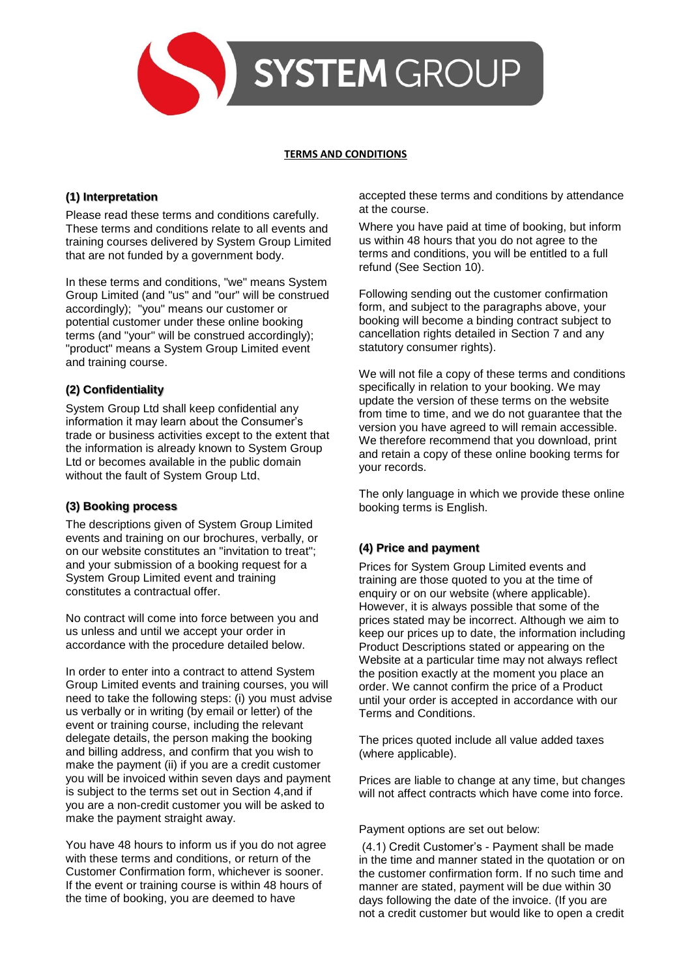

#### **TERMS AND CONDITIONS**

# **(1) Interpretation**

Please read these terms and conditions carefully. These terms and conditions relate to all events and training courses delivered by System Group Limited that are not funded by a government body.

In these terms and conditions, "we" means System Group Limited (and "us" and "our" will be construed accordingly); "you" means our customer or potential customer under these online booking terms (and "your" will be construed accordingly); "product" means a System Group Limited event and training course.

# **(2) Confidentiality**

System Group Ltd shall keep confidential any information it may learn about the Consumer's trade or business activities except to the extent that the information is already known to System Group Ltd or becomes available in the public domain without the fault of System Group Ltd.

# **(3) Booking process**

The descriptions given of System Group Limited events and training on our brochures, verbally, or on our website constitutes an "invitation to treat"; and your submission of a booking request for a System Group Limited event and training constitutes a contractual offer.

No contract will come into force between you and us unless and until we accept your order in accordance with the procedure detailed below.

In order to enter into a contract to attend System Group Limited events and training courses, you will need to take the following steps: (i) you must advise us verbally or in writing (by email or letter) of the event or training course, including the relevant delegate details, the person making the booking and billing address, and confirm that you wish to make the payment (ii) if you are a credit customer you will be invoiced within seven days and payment is subject to the terms set out in Section 4,and if you are a non-credit customer you will be asked to make the payment straight away.

You have 48 hours to inform us if you do not agree with these terms and conditions, or return of the Customer Confirmation form, whichever is sooner. If the event or training course is within 48 hours of the time of booking, you are deemed to have

accepted these terms and conditions by attendance at the course.

Where you have paid at time of booking, but inform us within 48 hours that you do not agree to the terms and conditions, you will be entitled to a full refund (See Section 10).

Following sending out the customer confirmation form, and subject to the paragraphs above, your booking will become a binding contract subject to cancellation rights detailed in Section 7 and any statutory consumer rights).

We will not file a copy of these terms and conditions specifically in relation to your booking. We may update the version of these terms on the website from time to time, and we do not guarantee that the version you have agreed to will remain accessible. We therefore recommend that you download, print and retain a copy of these online booking terms for your records.

The only language in which we provide these online booking terms is English.

# **(4) Price and payment**

Prices for System Group Limited events and training are those quoted to you at the time of enquiry or on our website (where applicable). However, it is always possible that some of the prices stated may be incorrect. Although we aim to keep our prices up to date, the information including Product Descriptions stated or appearing on the Website at a particular time may not always reflect the position exactly at the moment you place an order. We cannot confirm the price of a Product until your order is accepted in accordance with our Terms and Conditions.

The prices quoted include all value added taxes (where applicable).

Prices are liable to change at any time, but changes will not affect contracts which have come into force.

Payment options are set out below:

(4.1) Credit Customer's - Payment shall be made in the time and manner stated in the quotation or on the customer confirmation form. If no such time and manner are stated, payment will be due within 30 days following the date of the invoice. (If you are not a credit customer but would like to open a credit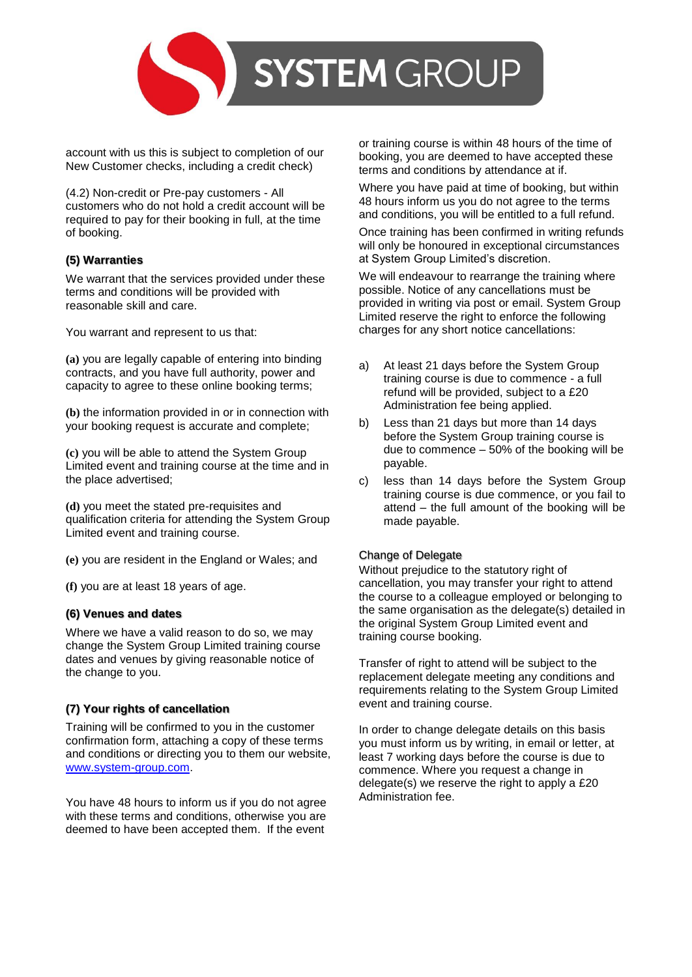

account with us this is subject to completion of our New Customer checks, including a credit check)

(4.2) Non-credit or Pre-pay customers - All customers who do not hold a credit account will be required to pay for their booking in full, at the time of booking.

### **(5) Warranties**

We warrant that the services provided under these terms and conditions will be provided with reasonable skill and care.

You warrant and represent to us that:

**(a)** you are legally capable of entering into binding contracts, and you have full authority, power and capacity to agree to these online booking terms;

**(b)** the information provided in or in connection with your booking request is accurate and complete;

**(c)** you will be able to attend the System Group Limited event and training course at the time and in the place advertised;

**(d)** you meet the stated pre-requisites and qualification criteria for attending the System Group Limited event and training course.

**(e)** you are resident in the England or Wales; and

**(f)** you are at least 18 years of age.

#### **(6) Venues and dates**

Where we have a valid reason to do so, we may change the System Group Limited training course dates and venues by giving reasonable notice of the change to you.

# **(7) Your rights of cancellation**

Training will be confirmed to you in the customer confirmation form, attaching a copy of these terms and conditions or directing you to them our website, [www.system-group.com.](http://www.system-group.com/)

You have 48 hours to inform us if you do not agree with these terms and conditions, otherwise you are deemed to have been accepted them. If the event

or training course is within 48 hours of the time of booking, you are deemed to have accepted these terms and conditions by attendance at if.

Where you have paid at time of booking, but within 48 hours inform us you do not agree to the terms and conditions, you will be entitled to a full refund.

Once training has been confirmed in writing refunds will only be honoured in exceptional circumstances at System Group Limited's discretion.

We will endeavour to rearrange the training where possible. Notice of any cancellations must be provided in writing via post or email. System Group Limited reserve the right to enforce the following charges for any short notice cancellations:

- a) At least 21 days before the System Group training course is due to commence - a full refund will be provided, subject to a £20 Administration fee being applied.
- b) Less than 21 days but more than 14 days before the System Group training course is due to commence – 50% of the booking will be payable.
- c) less than 14 days before the System Group training course is due commence, or you fail to attend – the full amount of the booking will be made payable.

#### Change of Delegate

Without prejudice to the statutory right of cancellation, you may transfer your right to attend the course to a colleague employed or belonging to the same organisation as the delegate(s) detailed in the original System Group Limited event and training course booking.

Transfer of right to attend will be subject to the replacement delegate meeting any conditions and requirements relating to the System Group Limited event and training course.

In order to change delegate details on this basis you must inform us by writing, in email or letter, at least 7 working days before the course is due to commence. Where you request a change in delegate(s) we reserve the right to apply a £20 Administration fee.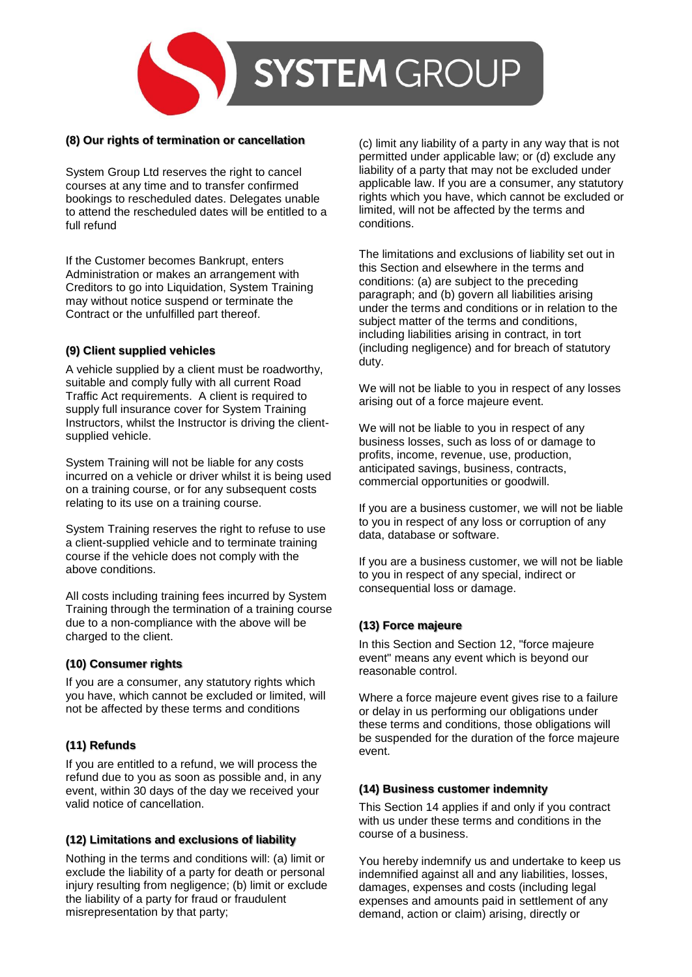

#### **(8) Our rights of termination or cancellation**

System Group Ltd reserves the right to cancel courses at any time and to transfer confirmed bookings to rescheduled dates. Delegates unable to attend the rescheduled dates will be entitled to a full refund

If the Customer becomes Bankrupt, enters Administration or makes an arrangement with Creditors to go into Liquidation, System Training may without notice suspend or terminate the Contract or the unfulfilled part thereof.

#### **(9) Client supplied vehicles**

A vehicle supplied by a client must be roadworthy, suitable and comply fully with all current Road Traffic Act requirements. A client is required to supply full insurance cover for System Training Instructors, whilst the Instructor is driving the clientsupplied vehicle.

System Training will not be liable for any costs incurred on a vehicle or driver whilst it is being used on a training course, or for any subsequent costs relating to its use on a training course.

System Training reserves the right to refuse to use a client-supplied vehicle and to terminate training course if the vehicle does not comply with the above conditions.

All costs including training fees incurred by System Training through the termination of a training course due to a non-compliance with the above will be charged to the client.

#### **(10) Consumer rights**

If you are a consumer, any statutory rights which you have, which cannot be excluded or limited, will not be affected by these terms and conditions

# **(11) Refunds**

If you are entitled to a refund, we will process the refund due to you as soon as possible and, in any event, within 30 days of the day we received your valid notice of cancellation.

# **(12) Limitations and exclusions of liability**

Nothing in the terms and conditions will: (a) limit or exclude the liability of a party for death or personal injury resulting from negligence; (b) limit or exclude the liability of a party for fraud or fraudulent misrepresentation by that party;

(c) limit any liability of a party in any way that is not permitted under applicable law; or (d) exclude any liability of a party that may not be excluded under applicable law. If you are a consumer, any statutory rights which you have, which cannot be excluded or limited, will not be affected by the terms and conditions.

The limitations and exclusions of liability set out in this Section and elsewhere in the terms and conditions: (a) are subject to the preceding paragraph; and (b) govern all liabilities arising under the terms and conditions or in relation to the subject matter of the terms and conditions, including liabilities arising in contract, in tort (including negligence) and for breach of statutory duty.

We will not be liable to you in respect of any losses arising out of a force majeure event.

We will not be liable to you in respect of any business losses, such as loss of or damage to profits, income, revenue, use, production, anticipated savings, business, contracts, commercial opportunities or goodwill.

If you are a business customer, we will not be liable to you in respect of any loss or corruption of any data, database or software.

If you are a business customer, we will not be liable to you in respect of any special, indirect or consequential loss or damage.

#### **(13) Force majeure**

In this Section and Section 12, "force majeure event" means any event which is beyond our reasonable control.

Where a force majeure event gives rise to a failure or delay in us performing our obligations under these terms and conditions, those obligations will be suspended for the duration of the force majeure event.

#### **(14) Business customer indemnity**

This Section 14 applies if and only if you contract with us under these terms and conditions in the course of a business.

You hereby indemnify us and undertake to keep us indemnified against all and any liabilities, losses, damages, expenses and costs (including legal expenses and amounts paid in settlement of any demand, action or claim) arising, directly or